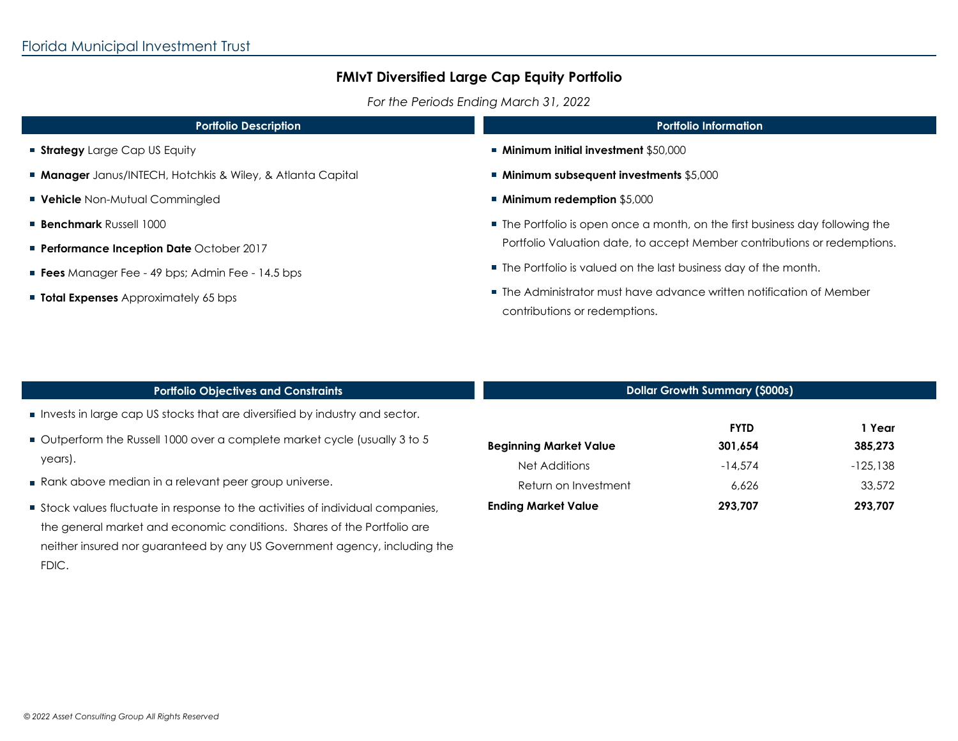*For the Periods Ending March 31, 2022*

| <b>Portfolio Description</b>                                     | <b>Portfolio Information</b>                                                                                                                              |  |
|------------------------------------------------------------------|-----------------------------------------------------------------------------------------------------------------------------------------------------------|--|
| <b>Strategy</b> Large Cap US Equity                              | $\blacksquare$ Minimum initial investment \$50,000                                                                                                        |  |
| <b>Manager</b> Janus/INTECH, Hotchkis & Wiley, & Atlanta Capital | ■ Minimum subsequent investments \$5,000                                                                                                                  |  |
| <b>Vehicle</b> Non-Mutual Commingled                             | $\blacksquare$ Minimum redemption \$5,000                                                                                                                 |  |
| <b>Benchmark</b> Russell 1000                                    | • The Portfolio is open once a month, on the first business day following the<br>Portfolio Valuation date, to accept Member contributions or redemptions. |  |
| Performance Inception Date October 2017                          |                                                                                                                                                           |  |
| <b>Fees</b> Manager Fee - 49 bps; Admin Fee - 14.5 bps           | ■ The Portfolio is valued on the last business day of the month.                                                                                          |  |
| <b>Total Expenses</b> Approximately 65 bps                       | ■ The Administrator must have advance written notification of Member<br>contributions or redemptions.                                                     |  |
|                                                                  |                                                                                                                                                           |  |
|                                                                  |                                                                                                                                                           |  |

| <b>Portfolio Objectives and Constraints</b>                                   | <b>Dollar Growth Summary (\$000s)</b> |                        |                   |
|-------------------------------------------------------------------------------|---------------------------------------|------------------------|-------------------|
| Invests in large cap US stocks that are diversified by industry and sector.   |                                       |                        |                   |
| Outperform the Russell 1000 over a complete market cycle (usually 3 to 5      | <b>Beginning Market Value</b>         | <b>FYTD</b><br>301,654 | 1 Year<br>385,273 |
| years).                                                                       | Net Additions                         | $-14.574$              | $-125,138$        |
| Rank above median in a relevant peer group universe.                          | Return on Investment                  | 6.626                  | 33,572            |
| Stock values fluctuate in response to the activities of individual companies, | <b>Ending Market Value</b>            | 293,707                | 293.707           |
| the general market and economic conditions. Shares of the Portfolio are       |                                       |                        |                   |
| neither insured nor guaranteed by any US Government agency, including the     |                                       |                        |                   |

FDIC.

L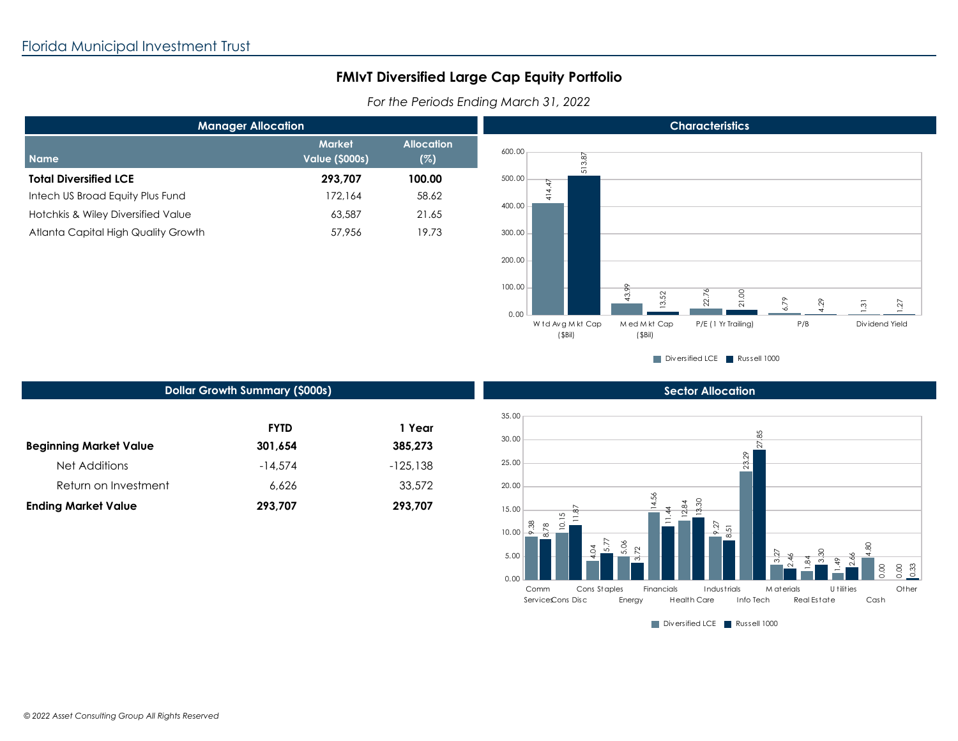*For the Periods Ending March 31, 2022*



Diversified LCE Russell 1000

### **Dollar Growth Summary (\$000s)**

|                               | <b>FYTD</b> | 1 Year     |
|-------------------------------|-------------|------------|
| <b>Beginning Market Value</b> | 301.654     | 385,273    |
| Net Additions                 | $-14.574$   | $-125.138$ |
| Return on Investment          | 6.626       | 33,572     |
| <b>Ending Market Value</b>    | 293.707     | 293,707    |

#### **Sector Allocation**



 *© 2022 Asset Consulting Group All Rights Reserved*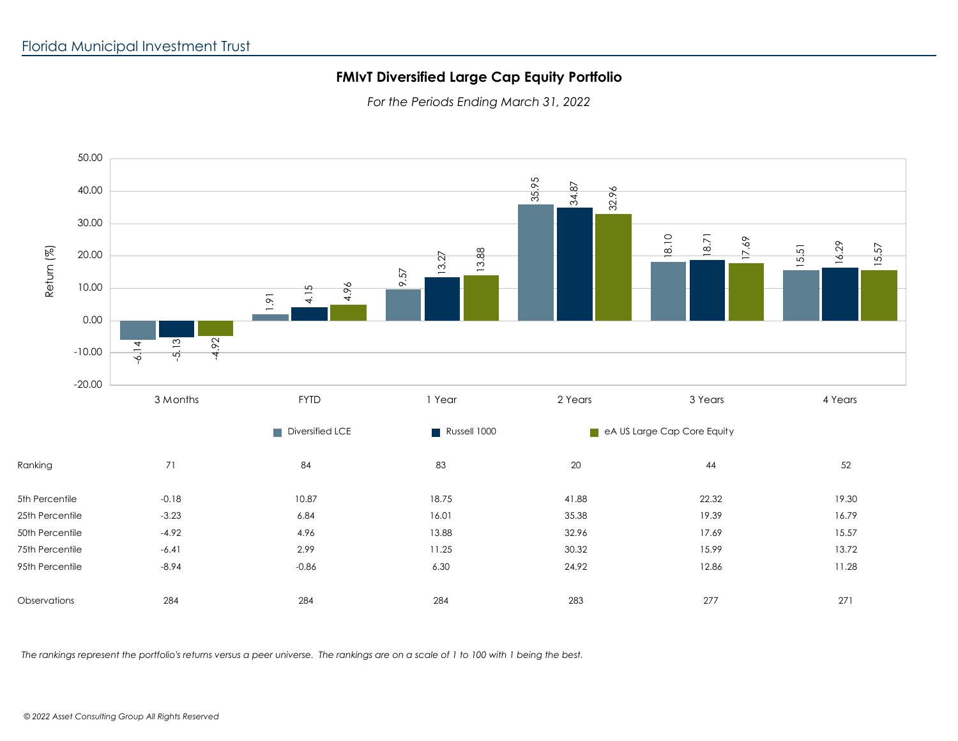*For the Periods Ending March 31, 2022*



*The rankings represent the portfolio's returns versus a peer universe. The rankings are on a scale of 1 to 100 with 1 being the best.*